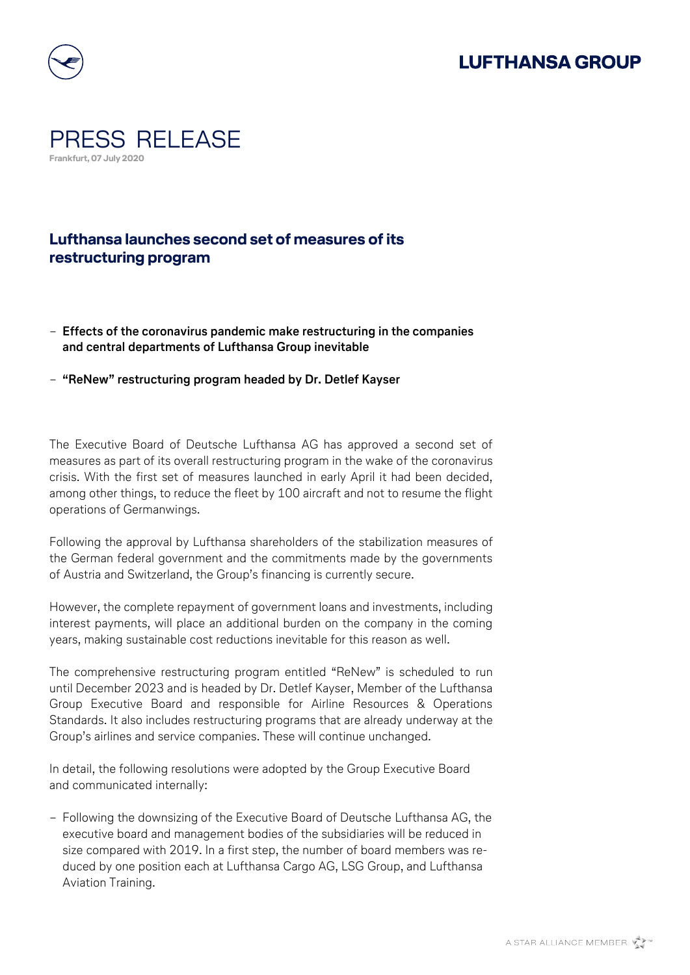





## **Lufthansa launches second set of measures of its restructuring program**

- − **Effects of the coronavirus pandemic make restructuring in the companies and central departments of Lufthansa Group inevitable**
- − **"ReNew" restructuring program headed by Dr. Detlef Kayser**

The Executive Board of Deutsche Lufthansa AG has approved a second set of measures as part of its overall restructuring program in the wake of the coronavirus crisis. With the first set of measures launched in early April it had been decided, among other things, to reduce the fleet by 100 aircraft and not to resume the flight operations of Germanwings.

Following the approval by Lufthansa shareholders of the stabilization measures of the German federal government and the commitments made by the governments of Austria and Switzerland, the Group's financing is currently secure.

However, the complete repayment of government loans and investments, including interest payments, will place an additional burden on the company in the coming years, making sustainable cost reductions inevitable for this reason as well.

The comprehensive restructuring program entitled "ReNew" is scheduled to run until December 2023 and is headed by Dr. Detlef Kayser, Member of the Lufthansa Group Executive Board and responsible for Airline Resources & Operations Standards. It also includes restructuring programs that are already underway at the Group's airlines and service companies. These will continue unchanged.

In detail, the following resolutions were adopted by the Group Executive Board and communicated internally:

− Following the downsizing of the Executive Board of Deutsche Lufthansa AG, the executive board and management bodies of the subsidiaries will be reduced in size compared with 2019. In a first step, the number of board members was reduced by one position each at Lufthansa Cargo AG, LSG Group, and Lufthansa Aviation Training.